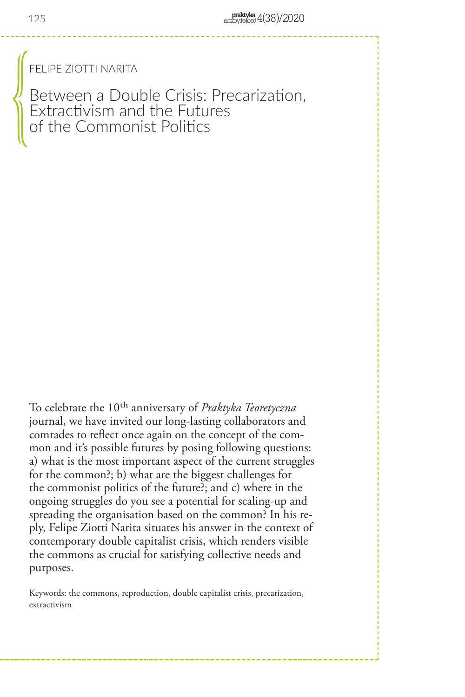FELIPE ZIOTTI NARITA

Between a Double Crisis: Precarization, Extractivism and the Futures of the Commonist Politics  $\begin{pmatrix} 0 & 0 & 0 \\ 0 & 0 & 0 \\ 0 & 0 & 0 \\ 0 & 0 & 0 \\ 0 & 0 & 0 \\ 0 & 0 & 0 \\ 0 & 0 & 0 \\ 0 & 0 & 0 \\ 0 & 0 & 0 \\ 0 & 0 & 0 \\ 0 & 0 & 0 \\ 0 & 0 & 0 \\ 0 & 0 & 0 \\ 0 & 0 & 0 & 0 \\ 0 & 0 & 0 & 0 \\ 0 & 0 & 0 & 0 \\ 0 & 0 & 0 & 0 & 0 \\ 0 & 0 & 0 & 0 & 0 \\ 0 & 0 & 0 & 0 & 0 \\ 0 & 0 & 0 & 0 & 0 &$ 

To celebrate the 10th anniversary of *Praktyka Teoretyczna*  journal, we have invited our long-lasting collaborators and comrades to reflect once again on the concept of the common and it's possible futures by posing following questions: a) what is the most important aspect of the current struggles for the common?; b) what are the biggest challenges for the commonist politics of the future?; and c) where in the ongoing struggles do you see a potential for scaling-up and spreading the organisation based on the common? In his reply, Felipe Ziotti Narita situates his answer in the context of contemporary double capitalist crisis, which renders visible the commons as crucial for satisfying collective needs and purposes.

Keywords: the commons, reproduction, double capitalist crisis, precarization, extractivism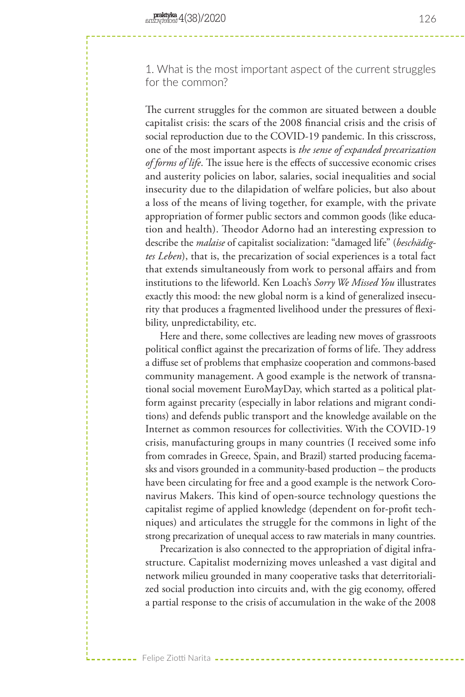1. What is the most important aspect of the current struggles for the common?

The current struggles for the common are situated between a double capitalist crisis: the scars of the 2008 financial crisis and the crisis of social reproduction due to the COVID-19 pandemic. In this crisscross, one of the most important aspects is *the sense of expanded precarization of forms of life*. The issue here is the effects of successive economic crises and austerity policies on labor, salaries, social inequalities and social insecurity due to the dilapidation of welfare policies, but also about a loss of the means of living together, for example, with the private appropriation of former public sectors and common goods (like education and health). Theodor Adorno had an interesting expression to describe the *malaise* of capitalist socialization: "damaged life" (*beschädigtes Leben*), that is, the precarization of social experiences is a total fact that extends simultaneously from work to personal affairs and from institutions to the lifeworld. Ken Loach's *Sorry We Missed You* illustrates exactly this mood: the new global norm is a kind of generalized insecurity that produces a fragmented livelihood under the pressures of flexibility, unpredictability, etc.

Here and there, some collectives are leading new moves of grassroots political conflict against the precarization of forms of life. They address a diffuse set of problems that emphasize cooperation and commons-based community management. A good example is the network of transnational social movement EuroMayDay, which started as a political platform against precarity (especially in labor relations and migrant conditions) and defends public transport and the knowledge available on the Internet as common resources for collectivities. With the COVID-19 crisis, manufacturing groups in many countries (I received some info from comrades in Greece, Spain, and Brazil) started producing facemasks and visors grounded in a community-based production – the products have been circulating for free and a good example is the network Coronavirus Makers. This kind of open-source technology questions the capitalist regime of applied knowledge (dependent on for-profit techniques) and articulates the struggle for the commons in light of the strong precarization of unequal access to raw materials in many countries.

Precarization is also connected to the appropriation of digital infrastructure. Capitalist modernizing moves unleashed a vast digital and network milieu grounded in many cooperative tasks that deterritorialized social production into circuits and, with the gig economy, offered a partial response to the crisis of accumulation in the wake of the 2008

Felipe Ziotti Narita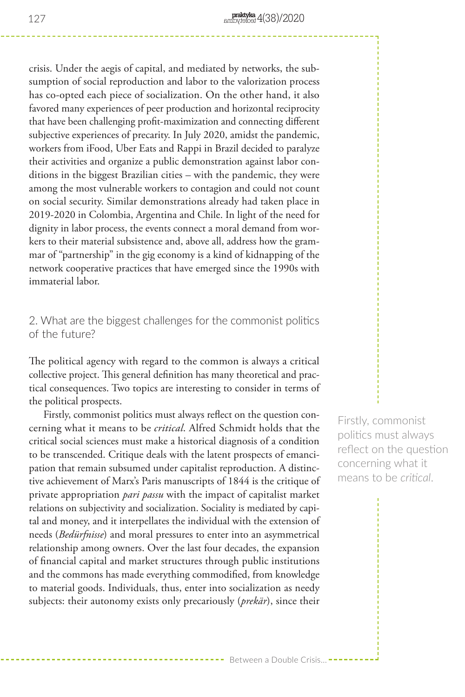crisis. Under the aegis of capital, and mediated by networks, the subsumption of social reproduction and labor to the valorization process has co-opted each piece of socialization. On the other hand, it also favored many experiences of peer production and horizontal reciprocity that have been challenging profit-maximization and connecting different subjective experiences of precarity. In July 2020, amidst the pandemic, workers from iFood, Uber Eats and Rappi in Brazil decided to paralyze their activities and organize a public demonstration against labor conditions in the biggest Brazilian cities – with the pandemic, they were among the most vulnerable workers to contagion and could not count on social security. Similar demonstrations already had taken place in 2019-2020 in Colombia, Argentina and Chile. In light of the need for dignity in labor process, the events connect a moral demand from workers to their material subsistence and, above all, address how the grammar of "partnership" in the gig economy is a kind of kidnapping of the network cooperative practices that have emerged since the 1990s with immaterial labor.

## 2. What are the biggest challenges for the commonist politics of the future?

The political agency with regard to the common is always a critical collective project. This general definition has many theoretical and practical consequences. Two topics are interesting to consider in terms of the political prospects.

Firstly, commonist politics must always reflect on the question concerning what it means to be *critical*. Alfred Schmidt holds that the critical social sciences must make a historical diagnosis of a condition to be transcended. Critique deals with the latent prospects of emancipation that remain subsumed under capitalist reproduction. A distinctive achievement of Marx's Paris manuscripts of 1844 is the critique of private appropriation *pari passu* with the impact of capitalist market relations on subjectivity and socialization. Sociality is mediated by capital and money, and it interpellates the individual with the extension of needs (*Bedürfnisse*) and moral pressures to enter into an asymmetrical relationship among owners. Over the last four decades, the expansion of financial capital and market structures through public institutions and the commons has made everything commodified, from knowledge to material goods. Individuals, thus, enter into socialization as needy subjects: their autonomy exists only precariously (*prekär*), since their

Firstly, commonist politics must always reflect on the question concerning what it means to be *critical*.

--- Between a Double Crisis...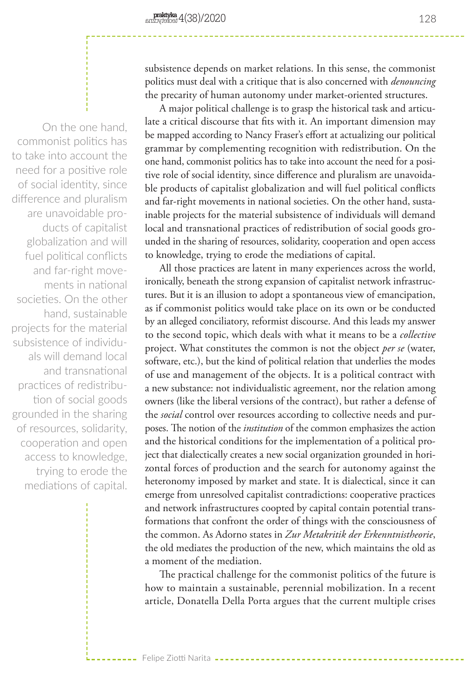On the one hand, commonist politics has to take into account the need for a positive role of social identity, since difference and pluralism are unavoidable products of capitalist globalization and will fuel political conflicts and far-right movements in national societies. On the other hand, sustainable projects for the material subsistence of individuals will demand local and transnational practices of redistribution of social goods grounded in the sharing of resources, solidarity, cooperation and open access to knowledge, trying to erode the mediations of capital.

subsistence depends on market relations. In this sense, the commonist politics must deal with a critique that is also concerned with *denouncing* the precarity of human autonomy under market-oriented structures.

A major political challenge is to grasp the historical task and articulate a critical discourse that fits with it. An important dimension may be mapped according to Nancy Fraser's effort at actualizing our political grammar by complementing recognition with redistribution. On the one hand, commonist politics has to take into account the need for a positive role of social identity, since difference and pluralism are unavoidable products of capitalist globalization and will fuel political conflicts and far-right movements in national societies. On the other hand, sustainable projects for the material subsistence of individuals will demand local and transnational practices of redistribution of social goods grounded in the sharing of resources, solidarity, cooperation and open access to knowledge, trying to erode the mediations of capital.

All those practices are latent in many experiences across the world, ironically, beneath the strong expansion of capitalist network infrastructures. But it is an illusion to adopt a spontaneous view of emancipation, as if commonist politics would take place on its own or be conducted by an alleged conciliatory, reformist discourse. And this leads my answer to the second topic, which deals with what it means to be a *collective* project. What constitutes the common is not the object *per se* (water, software, etc.), but the kind of political relation that underlies the modes of use and management of the objects. It is a political contract with a new substance: not individualistic agreement, nor the relation among owners (like the liberal versions of the contract), but rather a defense of the *social* control over resources according to collective needs and purposes. The notion of the *institution* of the common emphasizes the action and the historical conditions for the implementation of a political project that dialectically creates a new social organization grounded in horizontal forces of production and the search for autonomy against the heteronomy imposed by market and state. It is dialectical, since it can emerge from unresolved capitalist contradictions: cooperative practices and network infrastructures coopted by capital contain potential transformations that confront the order of things with the consciousness of the common. As Adorno states in *Zur Metakritik der Erkenntnistheorie*, the old mediates the production of the new, which maintains the old as a moment of the mediation.

The practical challenge for the commonist politics of the future is how to maintain a sustainable, perennial mobilization. In a recent article, Donatella Della Porta argues that the current multiple crises

Felipe Ziotti Narita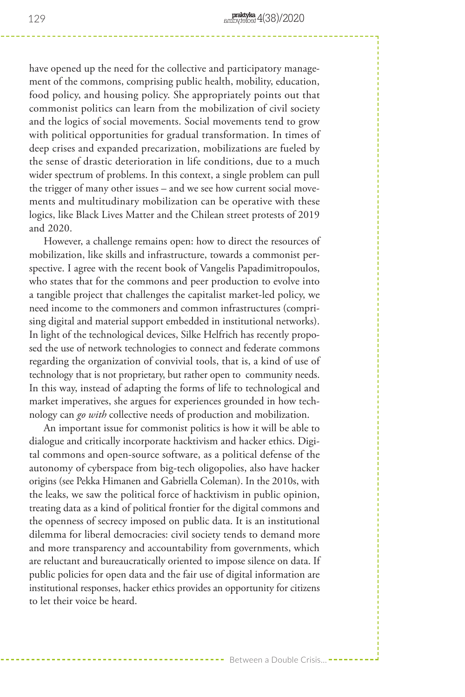have opened up the need for the collective and participatory management of the commons, comprising public health, mobility, education, food policy, and housing policy. She appropriately points out that commonist politics can learn from the mobilization of civil society and the logics of social movements. Social movements tend to grow with political opportunities for gradual transformation. In times of deep crises and expanded precarization, mobilizations are fueled by the sense of drastic deterioration in life conditions, due to a much wider spectrum of problems. In this context, a single problem can pull the trigger of many other issues – and we see how current social movements and multitudinary mobilization can be operative with these logics, like Black Lives Matter and the Chilean street protests of 2019 and 2020.

However, a challenge remains open: how to direct the resources of mobilization, like skills and infrastructure, towards a commonist perspective. I agree with the recent book of Vangelis Papadimitropoulos, who states that for the commons and peer production to evolve into a tangible project that challenges the capitalist market-led policy, we need income to the commoners and common infrastructures (comprising digital and material support embedded in institutional networks). In light of the technological devices, Silke Helfrich has recently proposed the use of network technologies to connect and federate commons regarding the organization of convivial tools, that is, a kind of use of technology that is not proprietary, but rather open to community needs. In this way, instead of adapting the forms of life to technological and market imperatives, she argues for experiences grounded in how technology can *go with* collective needs of production and mobilization.

An important issue for commonist politics is how it will be able to dialogue and critically incorporate hacktivism and hacker ethics. Digital commons and open-source software, as a political defense of the autonomy of cyberspace from big-tech oligopolies, also have hacker origins (see Pekka Himanen and Gabriella Coleman). In the 2010s, with the leaks, we saw the political force of hacktivism in public opinion, treating data as a kind of political frontier for the digital commons and the openness of secrecy imposed on public data. It is an institutional dilemma for liberal democracies: civil society tends to demand more and more transparency and accountability from governments, which are reluctant and bureaucratically oriented to impose silence on data. If public policies for open data and the fair use of digital information are institutional responses, hacker ethics provides an opportunity for citizens to let their voice be heard.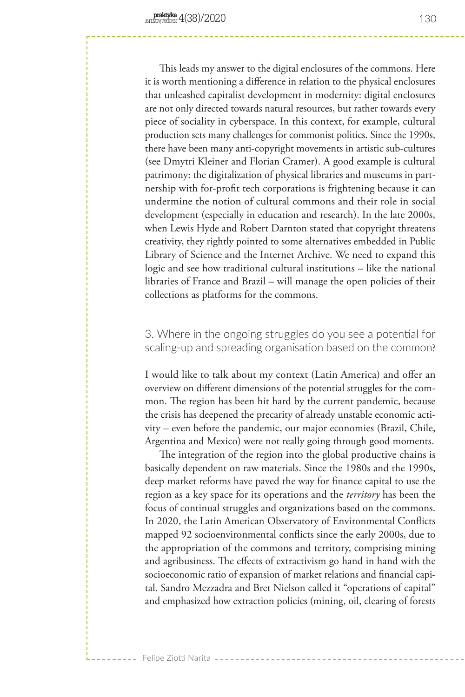Felipe Ziotti Narita

This leads my answer to the digital enclosures of the commons. Here it is worth mentioning a difference in relation to the physical enclosures that unleashed capitalist development in modernity: digital enclosures are not only directed towards natural resources, but rather towards every piece of sociality in cyberspace. In this context, for example, cultural production sets many challenges for commonist politics. Since the 1990s, there have been many anti-copyright movements in artistic sub-cultures (see Dmytri Kleiner and Florian Cramer). A good example is cultural patrimony: the digitalization of physical libraries and museums in partnership with for-profit tech corporations is frightening because it can undermine the notion of cultural commons and their role in social development (especially in education and research). In the late 2000s, when Lewis Hyde and Robert Darnton stated that copyright threatens creativity, they rightly pointed to some alternatives embedded in Public Library of Science and the Internet Archive. We need to expand this logic and see how traditional cultural institutions – like the national libraries of France and Brazil – will manage the open policies of their collections as platforms for the commons.

3. Where in the ongoing struggles do you see a potential for scaling-up and spreading organisation based on the common?

I would like to talk about my context (Latin America) and offer an overview on different dimensions of the potential struggles for the common. The region has been hit hard by the current pandemic, because the crisis has deepened the precarity of already unstable economic activity – even before the pandemic, our major economies (Brazil, Chile, Argentina and Mexico) were not really going through good moments.

The integration of the region into the global productive chains is basically dependent on raw materials. Since the 1980s and the 1990s, deep market reforms have paved the way for finance capital to use the region as a key space for its operations and the *territory* has been the focus of continual struggles and organizations based on the commons. In 2020, the Latin American Observatory of Environmental Conflicts mapped 92 socioenvironmental conflicts since the early 2000s, due to the appropriation of the commons and territory, comprising mining and agribusiness. The effects of extractivism go hand in hand with the socioeconomic ratio of expansion of market relations and financial capital. Sandro Mezzadra and Bret Nielson called it "operations of capital" and emphasized how extraction policies (mining, oil, clearing of forests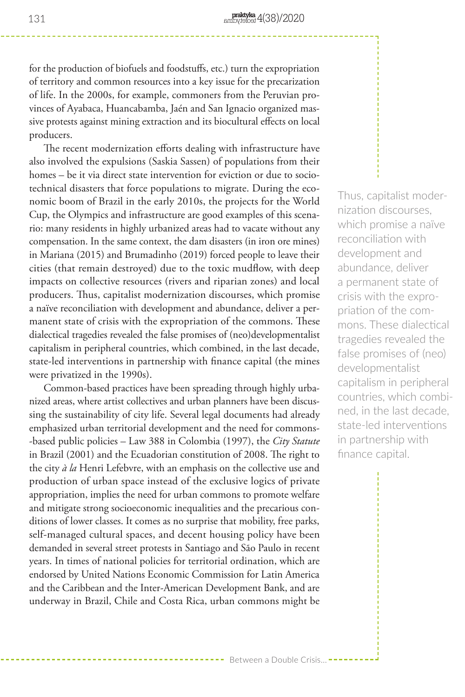for the production of biofuels and foodstuffs, etc.) turn the expropriation of territory and common resources into a key issue for the precarization of life. In the 2000s, for example, commoners from the Peruvian provinces of Ayabaca, Huancabamba, Jaén and San Ignacio organized massive protests against mining extraction and its biocultural effects on local producers.

The recent modernization efforts dealing with infrastructure have also involved the expulsions (Saskia Sassen) of populations from their homes – be it via direct state intervention for eviction or due to sociotechnical disasters that force populations to migrate. During the economic boom of Brazil in the early 2010s, the projects for the World Cup, the Olympics and infrastructure are good examples of this scenario: many residents in highly urbanized areas had to vacate without any compensation. In the same context, the dam disasters (in iron ore mines) in Mariana (2015) and Brumadinho (2019) forced people to leave their cities (that remain destroyed) due to the toxic mudflow, with deep impacts on collective resources (rivers and riparian zones) and local producers. Thus, capitalist modernization discourses, which promise a naïve reconciliation with development and abundance, deliver a permanent state of crisis with the expropriation of the commons. These dialectical tragedies revealed the false promises of (neo)developmentalist capitalism in peripheral countries, which combined, in the last decade, state-led interventions in partnership with finance capital (the mines were privatized in the 1990s).

Common-based practices have been spreading through highly urbanized areas, where artist collectives and urban planners have been discussing the sustainability of city life. Several legal documents had already emphasized urban territorial development and the need for commons- -based public policies – Law 388 in Colombia (1997), the *City Statute* in Brazil (2001) and the Ecuadorian constitution of 2008. The right to the city *à la* Henri Lefebvre, with an emphasis on the collective use and production of urban space instead of the exclusive logics of private appropriation, implies the need for urban commons to promote welfare and mitigate strong socioeconomic inequalities and the precarious conditions of lower classes. It comes as no surprise that mobility, free parks, self-managed cultural spaces, and decent housing policy have been demanded in several street protests in Santiago and São Paulo in recent years. In times of national policies for territorial ordination, which are endorsed by United Nations Economic Commission for Latin America and the Caribbean and the Inter-American Development Bank, and are underway in Brazil, Chile and Costa Rica, urban commons might be

Thus, capitalist modernization discourses, which promise a naïve reconciliation with development and abundance, deliver a permanent state of crisis with the expropriation of the commons. These dialectical tragedies revealed the false promises of (neo) developmentalist capitalism in peripheral countries, which combined, in the last decade, state-led interventions in partnership with finance capital.

---- Between a Double Crisis...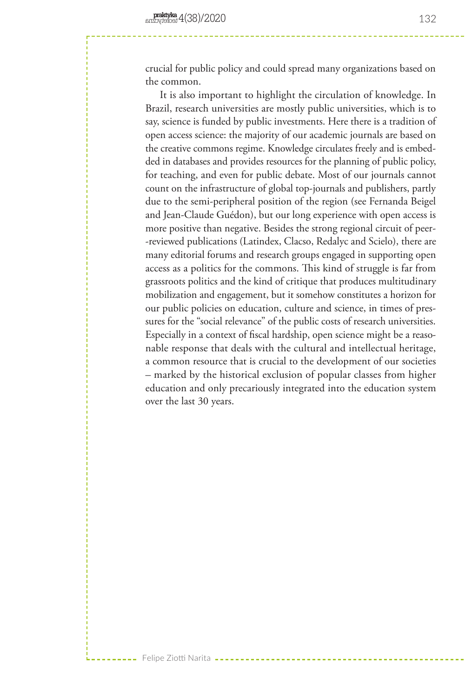crucial for public policy and could spread many organizations based on the common.

It is also important to highlight the circulation of knowledge. In Brazil, research universities are mostly public universities, which is to say, science is funded by public investments. Here there is a tradition of open access science: the majority of our academic journals are based on the creative commons regime. Knowledge circulates freely and is embedded in databases and provides resources for the planning of public policy, for teaching, and even for public debate. Most of our journals cannot count on the infrastructure of global top-journals and publishers, partly due to the semi-peripheral position of the region (see Fernanda Beigel and Jean-Claude Guédon), but our long experience with open access is more positive than negative. Besides the strong regional circuit of peer- -reviewed publications (Latindex, Clacso, Redalyc and Scielo), there are many editorial forums and research groups engaged in supporting open access as a politics for the commons. This kind of struggle is far from grassroots politics and the kind of critique that produces multitudinary mobilization and engagement, but it somehow constitutes a horizon for our public policies on education, culture and science, in times of pressures for the "social relevance" of the public costs of research universities. Especially in a context of fiscal hardship, open science might be a reasonable response that deals with the cultural and intellectual heritage, a common resource that is crucial to the development of our societies – marked by the historical exclusion of popular classes from higher education and only precariously integrated into the education system over the last 30 years.